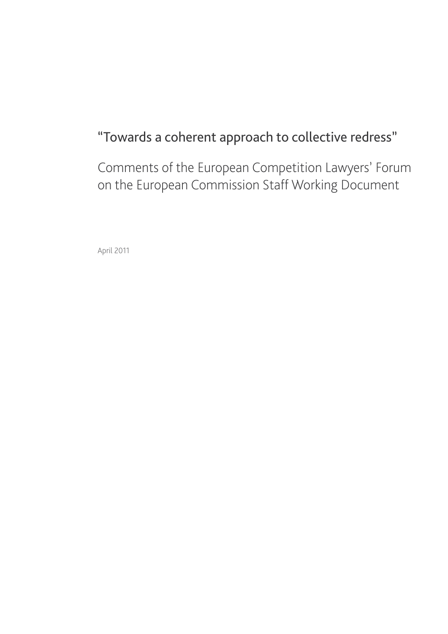Comments of the European Competition Lawyers' Forum on the European Commission Staff Working Document

April 2011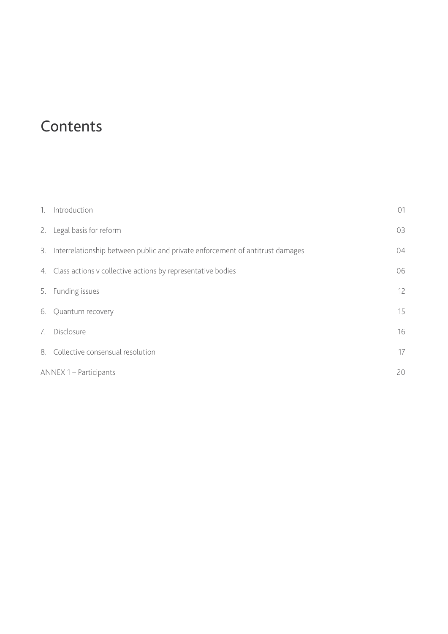# **Contents**

|    | 1. Introduction                                                                  | 01 |  |
|----|----------------------------------------------------------------------------------|----|--|
|    | 2. Legal basis for reform                                                        | 03 |  |
|    | 3. Interrelationship between public and private enforcement of antitrust damages | 04 |  |
|    | 4. Class actions v collective actions by representative bodies                   | 06 |  |
|    | 5. Funding issues                                                                | 12 |  |
|    | 6. Quantum recovery                                                              | 15 |  |
| 7. | Disclosure                                                                       | 16 |  |
|    | 8. Collective consensual resolution                                              | 17 |  |
|    | ANNEX 1 - Participants                                                           |    |  |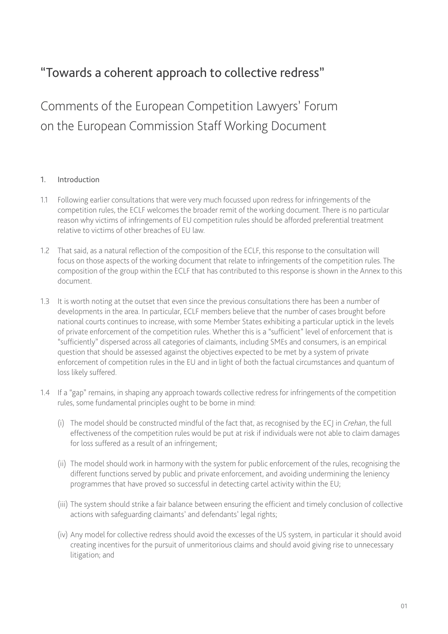<span id="page-2-0"></span>Comments of the European Competition Lawyers' Forum on the European Commission Staff Working Document

#### 1. Introduction

- 1.1 Following earlier consultations that were very much focussed upon redress for infringements of the competition rules, the ECLF welcomes the broader remit of the working document. There is no particular reason why victims of infringements of EU competition rules should be afforded preferential treatment relative to victims of other breaches of EU law.
- 1.2 That said, as a natural reflection of the composition of the ECLF, this response to the consultation will focus on those aspects of the working document that relate to infringements of the competition rules. The composition of the group within the ECLF that has contributed to this response is shown in the Annex to this document.
- 1.3 It is worth noting at the outset that even since the previous consultations there has been a number of developments in the area. In particular, ECLF members believe that the number of cases brought before national courts continues to increase, with some Member States exhibiting a particular uptick in the levels of private enforcement of the competition rules. Whether this is a "sufficient" level of enforcement that is "sufficiently" dispersed across all categories of claimants, including SMEs and consumers, is an empirical question that should be assessed against the objectives expected to be met by a system of private enforcement of competition rules in the EU and in light of both the factual circumstances and quantum of loss likely suffered.
- 1.4 If a "gap" remains, in shaping any approach towards collective redress for infringements of the competition rules, some fundamental principles ought to be borne in mind:
	- (i) The model should be constructed mindful of the fact that, as recognised by the ECJ in *Crehan*, the full effectiveness of the competition rules would be put at risk if individuals were not able to claim damages for loss suffered as a result of an infringement;
	- (ii) The model should work in harmony with the system for public enforcement of the rules, recognising the different functions served by public and private enforcement, and avoiding undermining the leniency programmes that have proved so successful in detecting cartel activity within the EU;
	- (iii) The system should strike a fair balance between ensuring the efficient and timely conclusion of collective actions with safeguarding claimants' and defendants' legal rights;
	- (iv) Any model for collective redress should avoid the excesses of the US system, in particular it should avoid creating incentives for the pursuit of unmeritorious claims and should avoid giving rise to unnecessary litigation; and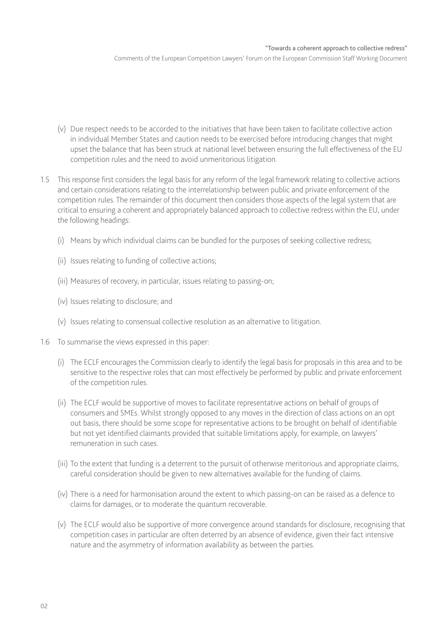- (v) Due respect needs to be accorded to the initiatives that have been taken to facilitate collective action in individual Member States and caution needs to be exercised before introducing changes that might upset the balance that has been struck at national level between ensuring the full effectiveness of the EU competition rules and the need to avoid unmeritorious litigation.
- 1.5 This response first considers the legal basis for any reform of the legal framework relating to collective actions and certain considerations relating to the interrelationship between public and private enforcement of the competition rules. The remainder of this document then considers those aspects of the legal system that are critical to ensuring a coherent and appropriately balanced approach to collective redress within the EU, under the following headings:
	- (i) Means by which individual claims can be bundled for the purposes of seeking collective redress;
	- (ii) Issues relating to funding of collective actions;
	- (iii) Measures of recovery, in particular, issues relating to passing-on;
	- (iv) Issues relating to disclosure; and
	- (v) Issues relating to consensual collective resolution as an alternative to litigation.
- 1.6 To summarise the views expressed in this paper:
	- (i) The ECLF encourages the Commission clearly to identify the legal basis for proposals in this area and to be sensitive to the respective roles that can most effectively be performed by public and private enforcement of the competition rules.
	- (ii) The ECLF would be supportive of moves to facilitate representative actions on behalf of groups of consumers and SMEs. Whilst strongly opposed to any moves in the direction of class actions on an opt out basis, there should be some scope for representative actions to be brought on behalf of identifiable but not yet identified claimants provided that suitable limitations apply, for example, on lawyers' remuneration in such cases.
	- (iii) To the extent that funding is a deterrent to the pursuit of otherwise meritorious and appropriate claims, careful consideration should be given to new alternatives available for the funding of claims.
	- (iv) There is a need for harmonisation around the extent to which passing-on can be raised as a defence to claims for damages, or to moderate the quantum recoverable.
	- (v) The ECLF would also be supportive of more convergence around standards for disclosure, recognising that competition cases in particular are often deterred by an absence of evidence, given their fact intensive nature and the asymmetry of information availability as between the parties.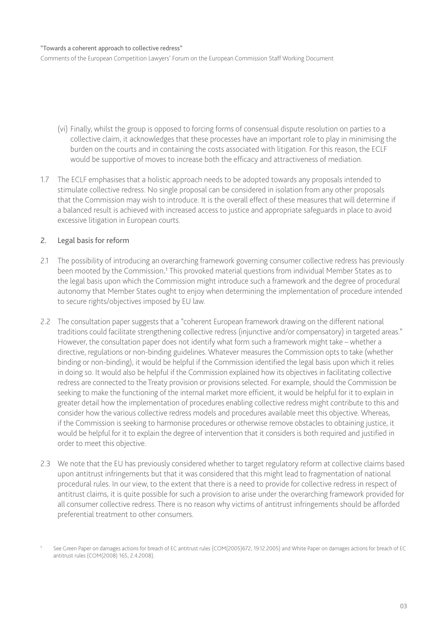<span id="page-4-0"></span>Comments of the European Competition Lawyers' Forum on the European Commission Staff Working Document

- (vi) Finally, whilst the group is opposed to forcing forms of consensual dispute resolution on parties to a collective claim, it acknowledges that these processes have an important role to play in minimising the burden on the courts and in containing the costs associated with litigation. For this reason, the ECLF would be supportive of moves to increase both the efficacy and attractiveness of mediation.
- 1.7 The ECLF emphasises that a holistic approach needs to be adopted towards any proposals intended to stimulate collective redress. No single proposal can be considered in isolation from any other proposals that the Commission may wish to introduce. It is the overall effect of these measures that will determine if a balanced result is achieved with increased access to justice and appropriate safeguards in place to avoid excessive litigation in European courts.

#### 2. Legal basis for reform

- 2.1 The possibility of introducing an overarching framework governing consumer collective redress has previously been mooted by the Commission. <sup>1</sup> This provoked material questions from individual Member States as to the legal basis upon which the Commission might introduce such a framework and the degree of procedural autonomy that Member States ought to enjoy when determining the implementation of procedure intended to secure rights/objectives imposed by EU law.
- 2.2 The consultation paper suggests that a "coherent European framework drawing on the different national traditions could facilitate strengthening collective redress (injunctive and/or compensatory) in targeted areas." However, the consultation paper does not identify what form such a framework might take – whether a directive, regulations or non-binding guidelines. Whatever measures the Commission opts to take (whether binding or non-binding), it would be helpful if the Commission identified the legal basis upon which it relies in doing so. It would also be helpful if the Commission explained how its objectives in facilitating collective redress are connected to the Treaty provision or provisions selected. For example, should the Commission be seeking to make the functioning of the internal market more efficient, it would be helpful for it to explain in greater detail how the implementation of procedures enabling collective redress might contribute to this and consider how the various collective redress models and procedures available meet this objective. Whereas, if the Commission is seeking to harmonise procedures or otherwise remove obstacles to obtaining justice, it would be helpful for it to explain the degree of intervention that it considers is both required and justified in order to meet this objective.
- 2.3 We note that the EU has previously considered whether to target regulatory reform at collective claims based upon antitrust infringements but that it was considered that this might lead to fragmentation of national procedural rules. In our view, to the extent that there is a need to provide for collective redress in respect of antitrust claims, it is quite possible for such a provision to arise under the overarching framework provided for all consumer collective redress. There is no reason why victims of antitrust infringements should be afforded preferential treatment to other consumers.

<sup>1</sup> See Green Paper on damages actions for breach of EC antitrust rules (COM(2005)672, 19.12.2005) and White Paper on damages actions for breach of EC antitrust rules (COM(2008) 165, 2.4.2008).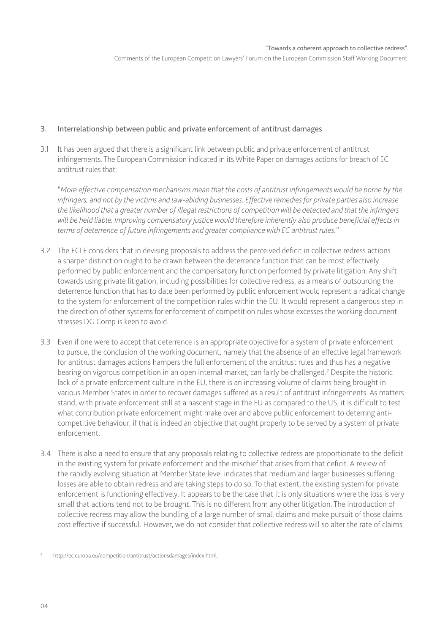#### <span id="page-5-0"></span>3. Interrelationship between public and private enforcement of antitrust damages

3.1 It has been argued that there is a significant link between public and private enforcement of antitrust infringements. The European Commission indicated in its White Paper on damages actions for breach of EC antitrust rules that:

"*More effective compensation mechanisms mean that the costs of antitrust infringements would be borne by the infringers, and not by the victims and law-abiding businesses. Effective remedies for private parties also increase the likelihood that a greater number of illegal restrictions of competition will be detected and that the infringers will be held liable. Improving compensatory justice would therefore inherently also produce beneficial effects in terms of deterrence of future infringements and greater compliance with EC antitrust rules."*

- 3.2 The ECLF considers that in devising proposals to address the perceived deficit in collective redress actions a sharper distinction ought to be drawn between the deterrence function that can be most effectively performed by public enforcement and the compensatory function performed by private litigation. Any shift towards using private litigation, including possibilities for collective redress, as a means of outsourcing the deterrence function that has to date been performed by public enforcement would represent a radical change to the system for enforcement of the competition rules within the EU. It would represent a dangerous step in the direction of other systems for enforcement of competition rules whose excesses the working document stresses DG Comp is keen to avoid.
- 3.3 Even if one were to accept that deterrence is an appropriate objective for a system of private enforcement to pursue, the conclusion of the working document, namely that the absence of an effective legal framework for antitrust damages actions hampers the full enforcement of the antitrust rules and thus has a negative bearing on vigorous competition in an open internal market, can fairly be challenged.<sup>2</sup> Despite the historic lack of a private enforcement culture in the EU, there is an increasing volume of claims being brought in various Member States in order to recover damages suffered as a result of antitrust infringements. As matters stand, with private enforcement still at a nascent stage in the EU as compared to the US, it is difficult to test what contribution private enforcement might make over and above public enforcement to deterring anticompetitive behaviour, if that is indeed an objective that ought properly to be served by a system of private enforcement.
- 3.4 There is also a need to ensure that any proposals relating to collective redress are proportionate to the deficit in the existing system for private enforcement and the mischief that arises from that deficit. A review of the rapidly evolving situation at Member State level indicates that medium and larger businesses suffering losses are able to obtain redress and are taking steps to do so. To that extent, the existing system for private enforcement is functioning effectively. It appears to be the case that it is only situations where the loss is very small that actions tend not to be brought. This is no different from any other litigation. The introduction of collective redress may allow the bundling of a large number of small claims and make pursuit of those claims cost effective if successful. However, we do not consider that collective redress will so alter the rate of claims

<sup>2</sup> [http://ec.europa.eu/competition/antitrust/actionsdamages/index.html.](http://ec.europa.eu/competition/antitrust/actionsdamages/index.html)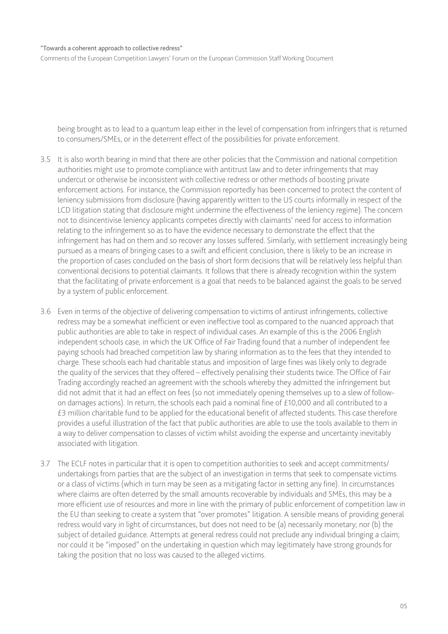Comments of the European Competition Lawyers' Forum on the European Commission Staff Working Document

being brought as to lead to a quantum leap either in the level of compensation from infringers that is returned to consumers/SMEs, or in the deterrent effect of the possibilities for private enforcement.

- 3.5 It is also worth bearing in mind that there are other policies that the Commission and national competition authorities might use to promote compliance with antitrust law and to deter infringements that may undercut or otherwise be inconsistent with collective redress or other methods of boosting private enforcement actions. For instance, the Commission reportedly has been concerned to protect the content of leniency submissions from disclosure (having apparently written to the US courts informally in respect of the LCD litigation stating that disclosure might undermine the effectiveness of the leniency regime). The concern not to disincentivise leniency applicants competes directly with claimants' need for access to information relating to the infringement so as to have the evidence necessary to demonstrate the effect that the infringement has had on them and so recover any losses suffered. Similarly, with settlement increasingly being pursued as a means of bringing cases to a swift and efficient conclusion, there is likely to be an increase in the proportion of cases concluded on the basis of short form decisions that will be relatively less helpful than conventional decisions to potential claimants. It follows that there is already recognition within the system that the facilitating of private enforcement is a goal that needs to be balanced against the goals to be served by a system of public enforcement.
- 3.6 Even in terms of the objective of delivering compensation to victims of antirust infringements, collective redress may be a somewhat inefficient or even ineffective tool as compared to the nuanced approach that public authorities are able to take in respect of individual cases. An example of this is the 2006 English independent schools case, in which the UK Office of Fair Trading found that a number of independent fee paying schools had breached competition law by sharing information as to the fees that they intended to charge. These schools each had charitable status and imposition of large fines was likely only to degrade the quality of the services that they offered – effectively penalising their students twice. The Office of Fair Trading accordingly reached an agreement with the schools whereby they admitted the infringement but did not admit that it had an effect on fees (so not immediately opening themselves up to a slew of followon damages actions). In return, the schools each paid a nominal fine of £10,000 and all contributed to a £3 million charitable fund to be applied for the educational benefit of affected students. This case therefore provides a useful illustration of the fact that public authorities are able to use the tools available to them in a way to deliver compensation to classes of victim whilst avoiding the expense and uncertainty inevitably associated with litigation.
- 3.7 The ECLF notes in particular that it is open to competition authorities to seek and accept commitments/ undertakings from parties that are the subject of an investigation in terms that seek to compensate victims or a class of victims (which in turn may be seen as a mitigating factor in setting any fine). In circumstances where claims are often deterred by the small amounts recoverable by individuals and SMEs, this may be a more efficient use of resources and more in line with the primary of public enforcement of competition law in the EU than seeking to create a system that "over promotes" litigation. A sensible means of providing general redress would vary in light of circumstances, but does not need to be (a) necessarily monetary; nor (b) the subject of detailed guidance. Attempts at general redress could not preclude any individual bringing a claim; nor could it be "imposed" on the undertaking in question which may legitimately have strong grounds for taking the position that no loss was caused to the alleged victims.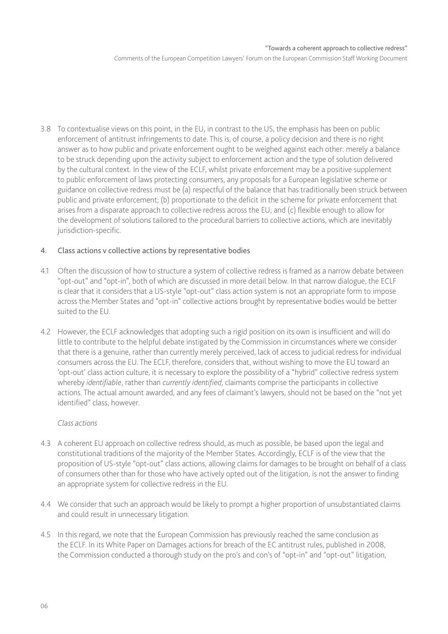<span id="page-7-0"></span>3.8 To contextualise views on this point, in the EU, in contrast to the US, the emphasis has been on public enforcement of antitrust infringements to date. This is, of course, a policy decision and there is no right answer as to how public and private enforcement ought to be weighed against each other: merely a balance to be struck depending upon the activity subject to enforcement action and the type of solution delivered by the cultural context. In the view of the ECLF, whilst private enforcement may be a positive supplement to public enforcement of laws protecting consumers, any proposals for a European legislative scheme or guidance on collective redress must be (a) respectful of the balance that has traditionally been struck between public and private enforcement; (b) proportionate to the deficit in the scheme for private enforcement that arises from a disparate approach to collective redress across the EU; and (c) flexible enough to allow for the development of solutions tailored to the procedural barriers to collective actions, which are inevitably jurisdiction-specific.

#### 4. Class actions v collective actions by representative bodies

- 4.1 Often the discussion of how to structure a system of collective redress is framed as a narrow debate between "opt-out" and "opt-in", both of which are discussed in more detail below. In that narrow dialogue, the ECLF is clear that it considers that a US-style "opt-out" class action system is not an appropriate form to impose across the Member States and "opt-in" collective actions brought by representative bodies would be better suited to the EU.
- 4.2 However, the ECLF acknowledges that adopting such a rigid position on its own is insufficient and will do little to contribute to the helpful debate instigated by the Commission in circumstances where we consider that there is a genuine, rather than currently merely perceived, lack of access to judicial redress for individual consumers across the EU. The ECLF, therefore, considers that, without wishing to move the EU toward an 'opt-out' class action culture, it is necessary to explore the possibility of a "hybrid" collective redress system whereby *identifiable*, rather than *currently identified*, claimants comprise the participants in collective actions. The actual amount awarded, and any fees of claimant's lawyers, should not be based on the "not yet identified" class, however.

#### *Class actions*

- 4.3 A coherent EU approach on collective redress should, as much as possible, be based upon the legal and constitutional traditions of the majority of the Member States. Accordingly, ECLF is of the view that the proposition of US-style "opt-out" class actions, allowing claims for damages to be brought on behalf of a class of consumers other than for those who have actively opted out of the litigation, is not the answer to finding an appropriate system for collective redress in the EU.
- 4.4 We consider that such an approach would be likely to prompt a higher proportion of unsubstantiated claims and could result in unnecessary litigation.
- 4.5 In this regard, we note that the European Commission has previously reached the same conclusion as the ECLF. In its White Paper on Damages actions for breach of the EC antitrust rules, published in 2008, the Commission conducted a thorough study on the pro's and con's of "opt-in" and "opt-out" litigation,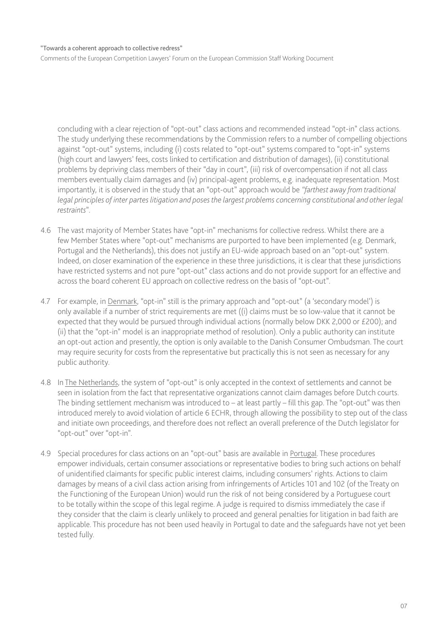Comments of the European Competition Lawyers' Forum on the European Commission Staff Working Document

concluding with a clear rejection of "opt-out" class actions and recommended instead "opt-in" class actions. The study underlying these recommendations by the Commission refers to a number of compelling objections against "opt-out" systems, including (i) costs related to "opt-out" systems compared to "opt-in" systems (high court and lawyers' fees, costs linked to certification and distribution of damages), (ii) constitutional problems by depriving class members of their "day in court", (iii) risk of overcompensation if not all class members eventually claim damages and (iv) principal-agent problems, e.g. inadequate representation. Most importantly, it is observed in the study that an "opt-out" approach would be *"farthest away from traditional legal principles of inter partes litigation and poses the largest problems concerning constitutional and other legal restraints*".

- 4.6 The vast majority of Member States have "opt-in" mechanisms for collective redress. Whilst there are a few Member States where "opt-out" mechanisms are purported to have been implemented (e.g. Denmark, Portugal and the Netherlands), this does not justify an EU-wide approach based on an "opt-out" system. Indeed, on closer examination of the experience in these three jurisdictions, it is clear that these jurisdictions have restricted systems and not pure "opt-out" class actions and do not provide support for an effective and across the board coherent EU approach on collective redress on the basis of "opt-out".
- 4.7 For example, in Denmark, "opt-in" still is the primary approach and "opt-out" (a 'secondary model') is only available if a number of strict requirements are met ((i) claims must be so low-value that it cannot be expected that they would be pursued through individual actions (normally below DKK 2,000 or £200); and (ii) that the "opt-in" model is an inappropriate method of resolution). Only a public authority can institute an opt-out action and presently, the option is only available to the Danish Consumer Ombudsman. The court may require security for costs from the representative but practically this is not seen as necessary for any public authority.
- 4.8 In The Netherlands, the system of "opt-out" is only accepted in the context of settlements and cannot be seen in isolation from the fact that representative organizations cannot claim damages before Dutch courts. The binding settlement mechanism was introduced to – at least partly – fill this gap. The "opt-out" was then introduced merely to avoid violation of article 6 ECHR, through allowing the possibility to step out of the class and initiate own proceedings, and therefore does not reflect an overall preference of the Dutch legislator for "opt-out" over "opt-in".
- 4.9 Special procedures for class actions on an "opt-out" basis are available in Portugal. These procedures empower individuals, certain consumer associations or representative bodies to bring such actions on behalf of unidentified claimants for specific public interest claims, including consumers' rights. Actions to claim damages by means of a civil class action arising from infringements of Articles 101 and 102 (of the Treaty on the Functioning of the European Union) would run the risk of not being considered by a Portuguese court to be totally within the scope of this legal regime. A judge is required to dismiss immediately the case if they consider that the claim is clearly unlikely to proceed and general penalties for litigation in bad faith are applicable. This procedure has not been used heavily in Portugal to date and the safeguards have not yet been tested fully.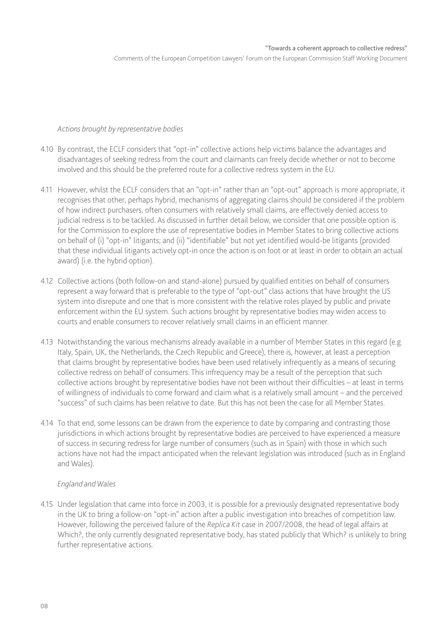#### *Actions brought by representative bodies*

- 4.10 By contrast, the ECLF considers that "opt-in" collective actions help victims balance the advantages and disadvantages of seeking redress from the court and claimants can freely decide whether or not to become involved and this should be the preferred route for a collective redress system in the EU.
- 4.11 However, whilst the ECLF considers that an "opt-in" rather than an "opt-out" approach is more appropriate, it recognises that other, perhaps hybrid, mechanisms of aggregating claims should be considered if the problem of how indirect purchasers, often consumers with relatively small claims, are effectively denied access to judicial redress is to be tackled. As discussed in further detail below, we consider that one possible option is for the Commission to explore the use of representative bodies in Member States to bring collective actions on behalf of (i) "opt-in" litigants; and (ii) "identifiable" but not yet identified would-be litigants (provided that these individual litigants actively opt-in once the action is on foot or at least in order to obtain an actual award) (i.e. the hybrid option).
- 4.12 Collective actions (both follow-on and stand-alone) pursued by qualified entities on behalf of consumers represent a way forward that is preferable to the type of "opt-out" class actions that have brought the US system into disrepute and one that is more consistent with the relative roles played by public and private enforcement within the EU system. Such actions brought by representative bodies may widen access to courts and enable consumers to recover relatively small claims in an efficient manner.
- 4.13 Notwithstanding the various mechanisms already available in a number of Member States in this regard (e.g. Italy, Spain, UK, the Netherlands, the Czech Republic and Greece), there is, however, at least a perception that claims brought by representative bodies have been used relatively infrequently as a means of securing collective redress on behalf of consumers. This infrequency may be a result of the perception that such collective actions brought by representative bodies have not been without their difficulties – at least in terms of willingness of individuals to come forward and claim what is a relatively small amount – and the perceived "success" of such claims has been relative to date. But this has not been the case for all Member States.
- 4.14 To that end, some lessons can be drawn from the experience to date by comparing and contrasting those jurisdictions in which actions brought by representative bodies are perceived to have experienced a measure of success in securing redress for large number of consumers (such as in Spain) with those in which such actions have not had the impact anticipated when the relevant legislation was introduced (such as in England and Wales).

#### *England and Wales*

4.15 Under legislation that came into force in 2003, it is possible for a previously designated representative body in the UK to bring a follow-on "opt-in" action after a public investigation into breaches of competition law. However, following the perceived failure of the *Replica Kit* case in 2007/2008, the head of legal affairs at Which?, the only currently designated representative body, has stated publicly that Which? is unlikely to bring further representative actions.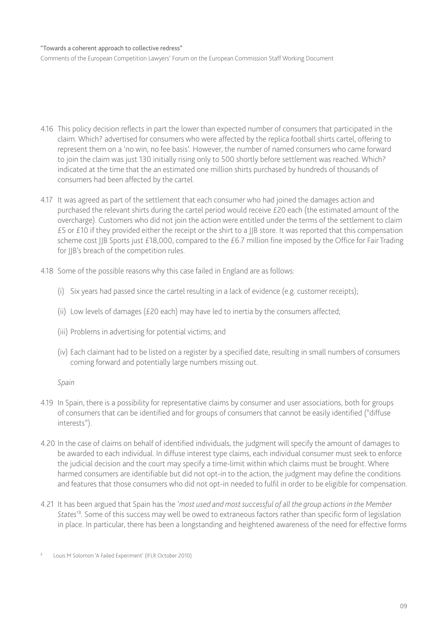Comments of the European Competition Lawyers' Forum on the European Commission Staff Working Document

- 4.16 This policy decision reflects in part the lower than expected number of consumers that participated in the claim. Which? advertised for consumers who were affected by the replica football shirts cartel, offering to represent them on a 'no win, no fee basis'. However, the number of named consumers who came forward to join the claim was just 130 initially rising only to 500 shortly before settlement was reached. Which? indicated at the time that the an estimated one million shirts purchased by hundreds of thousands of consumers had been affected by the cartel.
- 4.17 It was agreed as part of the settlement that each consumer who had joined the damages action and purchased the relevant shirts during the cartel period would receive £20 each (the estimated amount of the overcharge). Customers who did not join the action were entitled under the terms of the settlement to claim £5 or £10 if they provided either the receipt or the shirt to a JJB store. It was reported that this compensation scheme cost JJB Sports just £18,000, compared to the £6.7 million fine imposed by the Office for Fair Trading for JJB's breach of the competition rules.
- 4.18 Some of the possible reasons why this case failed in England are as follows:
	- (i) Six years had passed since the cartel resulting in a lack of evidence (e.g. customer receipts);
	- (ii) Low levels of damages ( $E20$  each) may have led to inertia by the consumers affected;
	- (iii) Problems in advertising for potential victims; and
	- (iv) Each claimant had to be listed on a register by a specified date, resulting in small numbers of consumers coming forward and potentially large numbers missing out.

*Spain*

- 4.19 In Spain, there is a possibility for representative claims by consumer and user associations, both for groups of consumers that can be identified and for groups of consumers that cannot be easily identified ("diffuse interests").
- 4.20 In the case of claims on behalf of identified individuals, the judgment will specify the amount of damages to be awarded to each individual. In diffuse interest type claims, each individual consumer must seek to enforce the judicial decision and the court may specify a time-limit within which claims must be brought. Where harmed consumers are identifiable but did not opt-in to the action, the judgment may define the conditions and features that those consumers who did not opt-in needed to fulfil in order to be eligible for compensation.
- 4.21 It has been argued that Spain has the '*most used and most successful of all the group actions in the Member*  States<sup>'3</sup>. Some of this success may well be owed to extraneous factors rather than specific form of legislation in place. In particular, there has been a longstanding and heightened awareness of the need for effective forms

Louis M Solomon 'A Failed Experiment' (IFLR October 2010)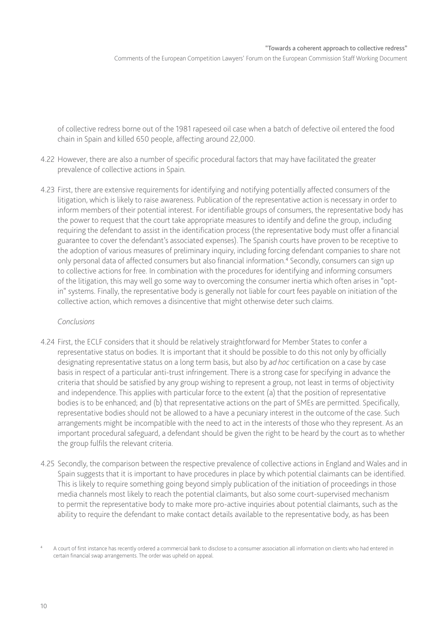of collective redress borne out of the 1981 rapeseed oil case when a batch of defective oil entered the food chain in Spain and killed 650 people, affecting around 22,000.

- 4.22 However, there are also a number of specific procedural factors that may have facilitated the greater prevalence of collective actions in Spain.
- 4.23 First, there are extensive requirements for identifying and notifying potentially affected consumers of the litigation, which is likely to raise awareness. Publication of the representative action is necessary in order to inform members of their potential interest. For identifiable groups of consumers, the representative body has the power to request that the court take appropriate measures to identify and define the group, including requiring the defendant to assist in the identification process (the representative body must offer a financial guarantee to cover the defendant's associated expenses). The Spanish courts have proven to be receptive to the adoption of various measures of preliminary inquiry, including forcing defendant companies to share not only personal data of affected consumers but also financial information.<sup>4</sup> Secondly, consumers can sign up to collective actions for free. In combination with the procedures for identifying and informing consumers of the litigation, this may well go some way to overcoming the consumer inertia which often arises in "optin" systems. Finally, the representative body is generally not liable for court fees payable on initiation of the collective action, which removes a disincentive that might otherwise deter such claims.

#### *Conclusions*

- 4.24 First, the ECLF considers that it should be relatively straightforward for Member States to confer a representative status on bodies. It is important that it should be possible to do this not only by officially designating representative status on a long term basis, but also by *ad hoc* certification on a case by case basis in respect of a particular anti-trust infringement. There is a strong case for specifying in advance the criteria that should be satisfied by any group wishing to represent a group, not least in terms of objectivity and independence. This applies with particular force to the extent (a) that the position of representative bodies is to be enhanced; and (b) that representative actions on the part of SMEs are permitted. Specifically, representative bodies should not be allowed to a have a pecuniary interest in the outcome of the case. Such arrangements might be incompatible with the need to act in the interests of those who they represent. As an important procedural safeguard, a defendant should be given the right to be heard by the court as to whether the group fulfils the relevant criteria.
- 4.25 Secondly, the comparison between the respective prevalence of collective actions in England and Wales and in Spain suggests that it is important to have procedures in place by which potential claimants can be identified. This is likely to require something going beyond simply publication of the initiation of proceedings in those media channels most likely to reach the potential claimants, but also some court-supervised mechanism to permit the representative body to make more pro-active inquiries about potential claimants, such as the ability to require the defendant to make contact details available to the representative body, as has been

<sup>4</sup> A court of first instance has recently ordered a commercial bank to disclose to a consumer association all information on clients who had entered in certain financial swap arrangements. The order was upheld on appeal.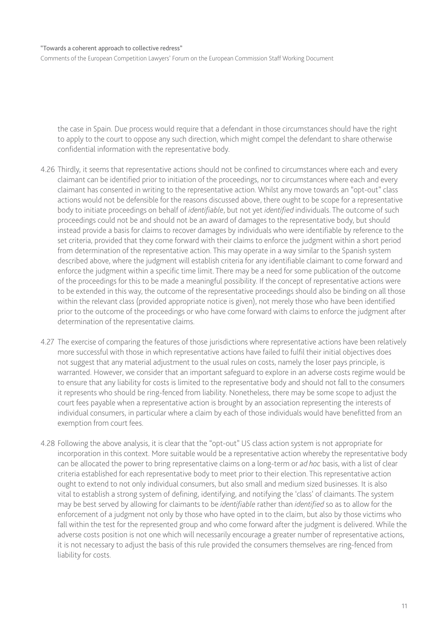Comments of the European Competition Lawyers' Forum on the European Commission Staff Working Document

the case in Spain. Due process would require that a defendant in those circumstances should have the right to apply to the court to oppose any such direction, which might compel the defendant to share otherwise confidential information with the representative body.

- 4.26 Thirdly, it seems that representative actions should not be confined to circumstances where each and every claimant can be identified prior to initiation of the proceedings, nor to circumstances where each and every claimant has consented in writing to the representative action. Whilst any move towards an "opt-out" class actions would not be defensible for the reasons discussed above, there ought to be scope for a representative body to initiate proceedings on behalf of *identifiable*, but not yet *identified* individuals. The outcome of such proceedings could not be and should not be an award of damages to the representative body, but should instead provide a basis for claims to recover damages by individuals who were identifiable by reference to the set criteria, provided that they come forward with their claims to enforce the judgment within a short period from determination of the representative action. This may operate in a way similar to the Spanish system described above, where the judgment will establish criteria for any identifiable claimant to come forward and enforce the judgment within a specific time limit. There may be a need for some publication of the outcome of the proceedings for this to be made a meaningful possibility. If the concept of representative actions were to be extended in this way, the outcome of the representative proceedings should also be binding on all those within the relevant class (provided appropriate notice is given), not merely those who have been identified prior to the outcome of the proceedings or who have come forward with claims to enforce the judgment after determination of the representative claims.
- 4.27 The exercise of comparing the features of those jurisdictions where representative actions have been relatively more successful with those in which representative actions have failed to fulfil their initial objectives does not suggest that any material adjustment to the usual rules on costs, namely the loser pays principle, is warranted. However, we consider that an important safeguard to explore in an adverse costs regime would be to ensure that any liability for costs is limited to the representative body and should not fall to the consumers it represents who should be ring-fenced from liability. Nonetheless, there may be some scope to adjust the court fees payable when a representative action is brought by an association representing the interests of individual consumers, in particular where a claim by each of those individuals would have benefitted from an exemption from court fees.
- 4.28 Following the above analysis, it is clear that the "opt-out" US class action system is not appropriate for incorporation in this context. More suitable would be a representative action whereby the representative body can be allocated the power to bring representative claims on a long-term or *ad hoc* basis, with a list of clear criteria established for each representative body to meet prior to their election. This representative action ought to extend to not only individual consumers, but also small and medium sized businesses. It is also vital to establish a strong system of defining, identifying, and notifying the 'class' of claimants. The system may be best served by allowing for claimants to be *identifiable* rather than *identified* so as to allow for the enforcement of a judgment not only by those who have opted in to the claim, but also by those victims who fall within the test for the represented group and who come forward after the judgment is delivered. While the adverse costs position is not one which will necessarily encourage a greater number of representative actions, it is not necessary to adjust the basis of this rule provided the consumers themselves are ring-fenced from liability for costs.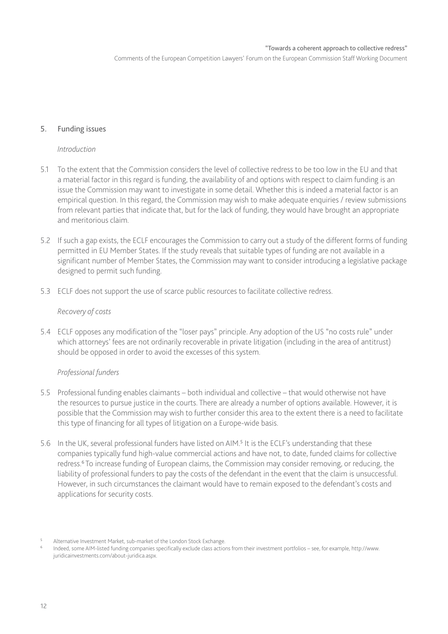#### <span id="page-13-0"></span>5. Funding issues

#### *Introduction*

- 5.1 To the extent that the Commission considers the level of collective redress to be too low in the EU and that a material factor in this regard is funding, the availability of and options with respect to claim funding is an issue the Commission may want to investigate in some detail. Whether this is indeed a material factor is an empirical question. In this regard, the Commission may wish to make adequate enquiries / review submissions from relevant parties that indicate that, but for the lack of funding, they would have brought an appropriate and meritorious claim.
- 5.2 If such a gap exists, the ECLF encourages the Commission to carry out a study of the different forms of funding permitted in EU Member States. If the study reveals that suitable types of funding are not available in a significant number of Member States, the Commission may want to consider introducing a legislative package designed to permit such funding.
- 5.3 ECLF does not support the use of scarce public resources to facilitate collective redress.

#### *Recovery of costs*

5.4 ECLF opposes any modification of the "loser pays" principle. Any adoption of the US "no costs rule" under which attorneys' fees are not ordinarily recoverable in private litigation (including in the area of antitrust) should be opposed in order to avoid the excesses of this system.

#### *Professional funders*

- 5.5 Professional funding enables claimants both individual and collective that would otherwise not have the resources to pursue justice in the courts. There are already a number of options available. However, it is possible that the Commission may wish to further consider this area to the extent there is a need to facilitate this type of financing for all types of litigation on a Europe-wide basis.
- 5.6 In the UK, several professional funders have listed on AIM.<sup>5</sup> It is the ECLF's understanding that these companies typically fund high-value commercial actions and have not, to date, funded claims for collective redress.<sup>6</sup> To increase funding of European claims, the Commission may consider removing, or reducing, the liability of professional funders to pay the costs of the defendant in the event that the claim is unsuccessful. However, in such circumstances the claimant would have to remain exposed to the defendant's costs and applications for security costs.

Alternative Investment Market, sub-market of the London Stock Exchange.

<sup>6</sup> Indeed, some AIM-listed funding companies specifically exclude class actions from their investment portfolios – see, for example, [http://www.](http://www.juridicainvestments.com/about-juridica.aspx) [juridicainvestments.com/about-juridica.aspx](http://www.juridicainvestments.com/about-juridica.aspx).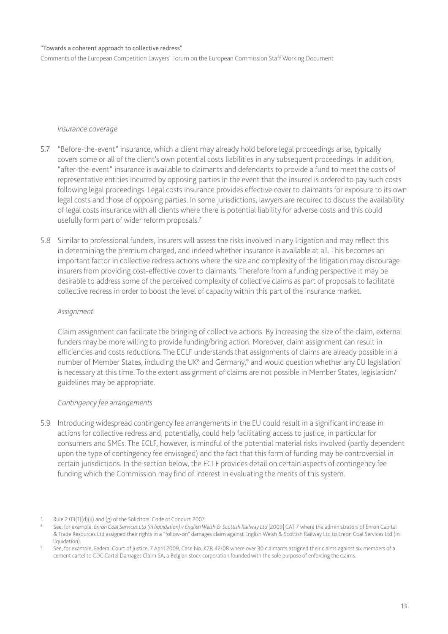Comments of the European Competition Lawyers' Forum on the European Commission Staff Working Document

#### *Insurance coverage*

- 5.7 "Before-the-event" insurance, which a client may already hold before legal proceedings arise, typically covers some or all of the client's own potential costs liabilities in any subsequent proceedings. In addition, "after-the-event" insurance is available to claimants and defendants to provide a fund to meet the costs of representative entities incurred by opposing parties in the event that the insured is ordered to pay such costs following legal proceedings. Legal costs insurance provides effective cover to claimants for exposure to its own legal costs and those of opposing parties. In some jurisdictions, lawyers are required to discuss the availability of legal costs insurance with all clients where there is potential liability for adverse costs and this could usefully form part of wider reform proposals.<sup>7</sup>
- 5.8 Similar to professional funders, insurers will assess the risks involved in any litigation and may reflect this in determining the premium charged, and indeed whether insurance is available at all. This becomes an important factor in collective redress actions where the size and complexity of the litigation may discourage insurers from providing cost-effective cover to claimants. Therefore from a funding perspective it may be desirable to address some of the perceived complexity of collective claims as part of proposals to facilitate collective redress in order to boost the level of capacity within this part of the insurance market.

#### *Assignment*

Claim assignment can facilitate the bringing of collective actions. By increasing the size of the claim, external funders may be more willing to provide funding/bring action. Moreover, claim assignment can result in efficiencies and costs reductions. The ECLF understands that assignments of claims are already possible in a number of Member States, including the UK<sup>8</sup> and Germany,<sup>9</sup> and would question whether any EU legislation is necessary at this time. To the extent assignment of claims are not possible in Member States, legislation/ guidelines may be appropriate.

#### *Contingency fee arrangements*

5.9 Introducing widespread contingency fee arrangements in the EU could result in a significant increase in actions for collective redress and, potentially, could help facilitating access to justice, in particular for consumers and SMEs. The ECLF, however, is mindful of the potential material risks involved (partly dependent upon the type of contingency fee envisaged) and the fact that this form of funding may be controversial in certain jurisdictions. In the section below, the ECLF provides detail on certain aspects of contingency fee funding which the Commission may find of interest in evaluating the merits of this system.

Rule 2.03(1)(d)(ii) and (g) of the Solicitors' Code of Conduct 2007.

See, for example, *Enron Coal Services Ltd (in liquidation) v English Welsh & Scottish Railway Ltd* [2009] CAT 7 where the administrators of Enron Capital & Trade Resources Ltd assigned their rights in a "follow-on" damages claim against English Welsh & Scottish Railway Ltd to Enron Coal Services Ltd (in liquidation).

See, for example, Federal Court of Justice, 7 April 2009, Case No. KZR 42/08 where over 30 claimants assigned their claims against six members of a cement cartel to CDC Cartel Damages Claim SA, a Belgian stock corporation founded with the sole purpose of enforcing the claims.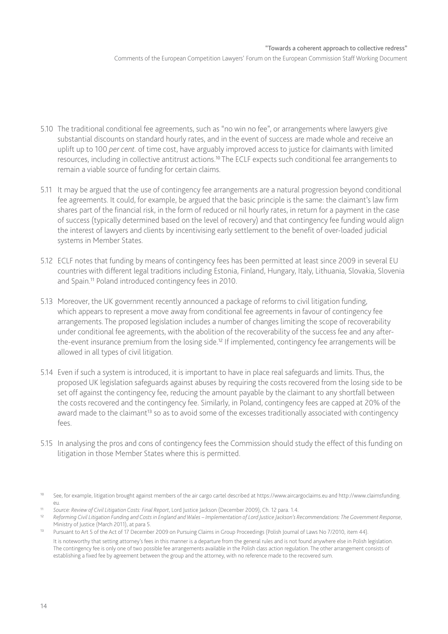- 5.10 The traditional conditional fee agreements, such as "no win no fee", or arrangements where lawyers give substantial discounts on standard hourly rates, and in the event of success are made whole and receive an uplift up to 100 *per cent.* of time cost, have arguably improved access to justice for claimants with limited resources, including in collective antitrust actions.<sup>10</sup> The ECLF expects such conditional fee arrangements to remain a viable source of funding for certain claims.
- 5.11 It may be argued that the use of contingency fee arrangements are a natural progression beyond conditional fee agreements. It could, for example, be argued that the basic principle is the same: the claimant's law firm shares part of the financial risk, in the form of reduced or nil hourly rates, in return for a payment in the case of success (typically determined based on the level of recovery) and that contingency fee funding would align the interest of lawyers and clients by incentivising early settlement to the benefit of over-loaded judicial systems in Member States.
- 5.12 ECLF notes that funding by means of contingency fees has been permitted at least since 2009 in several EU countries with different legal traditions including Estonia, Finland, Hungary, Italy, Lithuania, Slovakia, Slovenia and Spain.<sup>11</sup> Poland introduced contingency fees in 2010.
- 5.13 Moreover, the UK government recently announced a package of reforms to civil litigation funding, which appears to represent a move away from conditional fee agreements in favour of contingency fee arrangements. The proposed legislation includes a number of changes limiting the scope of recoverability under conditional fee agreements, with the abolition of the recoverability of the success fee and any afterthe-event insurance premium from the losing side.<sup>12</sup> If implemented, contingency fee arrangements will be allowed in all types of civil litigation.
- 5.14 Even if such a system is introduced, it is important to have in place real safeguards and limits. Thus, the proposed UK legislation safeguards against abuses by requiring the costs recovered from the losing side to be set off against the contingency fee, reducing the amount payable by the claimant to any shortfall between the costs recovered and the contingency fee. Similarly, in Poland, contingency fees are capped at 20% of the award made to the claimant<sup>13</sup> so as to avoid some of the excesses traditionally associated with contingency fees.
- 5.15 In analysing the pros and cons of contingency fees the Commission should study the effect of this funding on litigation in those Member States where this is permitted.

<sup>11</sup> *Source: Review of Civil Litigation Costs: Final Report*, Lord Justice Jackson (December 2009), Ch. 12 para. 1.4.

<sup>10</sup> See, for example, litigation brought against members of the air cargo cartel described at <https://www.aircargoclaims.eu> and [http://www.claimsfunding.](http://www.claimsfunding.eu) [eu](http://www.claimsfunding.eu)*.*

<sup>12</sup> *Reforming Civil Litigation Funding and Costs in England and Wales – Implementation of Lord Justice Jackson's Recommendations: The Government Response*, Ministry of Justice (March 2011), at para 5.

Pursuant to Art 5 of the Act of 17 December 2009 on Pursuing Claims in Group Proceedings (Polish Journal of Laws No 7/2010, item 44). It is noteworthy that setting attorney's fees in this manner is a departure from the general rules and is not found anywhere else in Polish legislation. The contingency fee is only one of two possible fee arrangements available in the Polish class action regulation. The other arrangement consists of establishing a fixed fee by agreement between the group and the attorney, with no reference made to the recovered sum.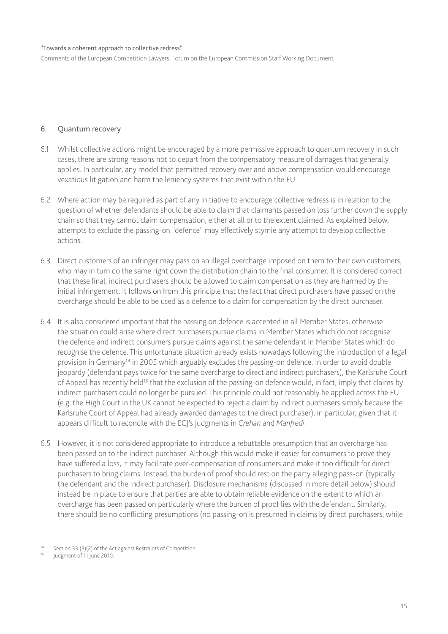<span id="page-16-0"></span>Comments of the European Competition Lawyers' Forum on the European Commission Staff Working Document

#### 6. Quantum recovery

- 6.1 Whilst collective actions might be encouraged by a more permissive approach to quantum recovery in such cases, there are strong reasons not to depart from the compensatory measure of damages that generally applies. In particular, any model that permitted recovery over and above compensation would encourage vexatious litigation and harm the leniency systems that exist within the EU.
- 6.2 Where action may be required as part of any initiative to encourage collective redress is in relation to the question of whether defendants should be able to claim that claimants passed on loss further down the supply chain so that they cannot claim compensation, either at all or to the extent claimed. As explained below, attempts to exclude the passing-on "defence" may effectively stymie any attempt to develop collective actions.
- 6.3 Direct customers of an infringer may pass on an illegal overcharge imposed on them to their own customers, who may in turn do the same right down the distribution chain to the final consumer. It is considered correct that these final, indirect purchasers should be allowed to claim compensation as they are harmed by the initial infringement. It follows on from this principle that the fact that direct purchasers have passed on the overcharge should be able to be used as a defence to a claim for compensation by the direct purchaser.
- 6.4 It is also considered important that the passing on defence is accepted in all Member States, otherwise the situation could arise where direct purchasers pursue claims in Member States which do not recognise the defence and indirect consumers pursue claims against the same defendant in Member States which do recognise the defence. This unfortunate situation already exists nowadays following the introduction of a legal provision in Germany<sup>14</sup> in 2005 which arguably excludes the passing-on defence. In order to avoid double jeopardy (defendant pays twice for the same overcharge to direct and indirect purchasers), the Karlsruhe Court of Appeal has recently held<sup>15</sup> that the exclusion of the passing-on defence would, in fact, imply that claims by indirect purchasers could no longer be pursued. This principle could not reasonably be applied across the EU (e.g. the High Court in the UK cannot be expected to reject a claim by indirect purchasers simply because the Karlsruhe Court of Appeal had already awarded damages to the direct purchaser), in particular, given that it appears difficult to reconcile with the ECJ's judgments in *Crehan* and *Manfredi*.
- 6.5 However, it is not considered appropriate to introduce a rebuttable presumption that an overcharge has been passed on to the indirect purchaser. Although this would make it easier for consumers to prove they have suffered a loss, it may facilitate over-compensation of consumers and make it too difficult for direct purchasers to bring claims. Instead, the burden of proof should rest on the party alleging pass-on (typically the defendant and the indirect purchaser). Disclosure mechanisms (discussed in more detail below) should instead be in place to ensure that parties are able to obtain reliable evidence on the extent to which an overcharge has been passed on particularly where the burden of proof lies with the defendant. Similarly, there should be no conflicting presumptions (no passing-on is presumed in claims by direct purchasers, while

Judgment of 11 June 2010.

Section 33 (3)(2) of the Act against Restraints of Competition.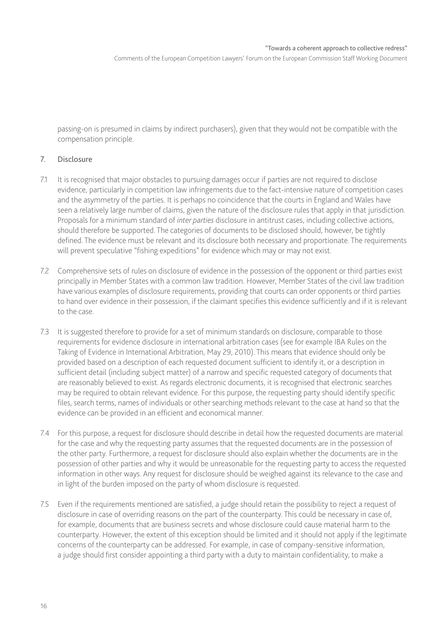<span id="page-17-0"></span>passing-on is presumed in claims by indirect purchasers), given that they would not be compatible with the compensation principle.

#### 7. Disclosure

- 7.1 It is recognised that major obstacles to pursuing damages occur if parties are not required to disclose evidence, particularly in competition law infringements due to the fact-intensive nature of competition cases and the asymmetry of the parties. It is perhaps no coincidence that the courts in England and Wales have seen a relatively large number of claims, given the nature of the disclosure rules that apply in that jurisdiction. Proposals for a minimum standard of *inter parties* disclosure in antitrust cases, including collective actions, should therefore be supported. The categories of documents to be disclosed should, however, be tightly defined. The evidence must be relevant and its disclosure both necessary and proportionate. The requirements will prevent speculative "fishing expeditions" for evidence which may or may not exist.
- 7.2 Comprehensive sets of rules on disclosure of evidence in the possession of the opponent or third parties exist principally in Member States with a common law tradition. However, Member States of the civil law tradition have various examples of disclosure requirements, providing that courts can order opponents or third parties to hand over evidence in their possession, if the claimant specifies this evidence sufficiently and if it is relevant to the case.
- 7.3 It is suggested therefore to provide for a set of minimum standards on disclosure, comparable to those requirements for evidence disclosure in international arbitration cases (see for example IBA Rules on the Taking of Evidence in International Arbitration, May 29, 2010). This means that evidence should only be provided based on a description of each requested document sufficient to identify it, or a description in sufficient detail (including subject matter) of a narrow and specific requested category of documents that are reasonably believed to exist. As regards electronic documents, it is recognised that electronic searches may be required to obtain relevant evidence. For this purpose, the requesting party should identify specific files, search terms, names of individuals or other searching methods relevant to the case at hand so that the evidence can be provided in an efficient and economical manner.
- 7.4 For this purpose, a request for disclosure should describe in detail how the requested documents are material for the case and why the requesting party assumes that the requested documents are in the possession of the other party. Furthermore, a request for disclosure should also explain whether the documents are in the possession of other parties and why it would be unreasonable for the requesting party to access the requested information in other ways. Any request for disclosure should be weighed against its relevance to the case and in light of the burden imposed on the party of whom disclosure is requested.
- 7.5 Even if the requirements mentioned are satisfied, a judge should retain the possibility to reject a request of disclosure in case of overriding reasons on the part of the counterparty. This could be necessary in case of, for example, documents that are business secrets and whose disclosure could cause material harm to the counterparty. However, the extent of this exception should be limited and it should not apply if the legitimate concerns of the counterparty can be addressed. For example, in case of company-sensitive information, a judge should first consider appointing a third party with a duty to maintain confidentiality, to make a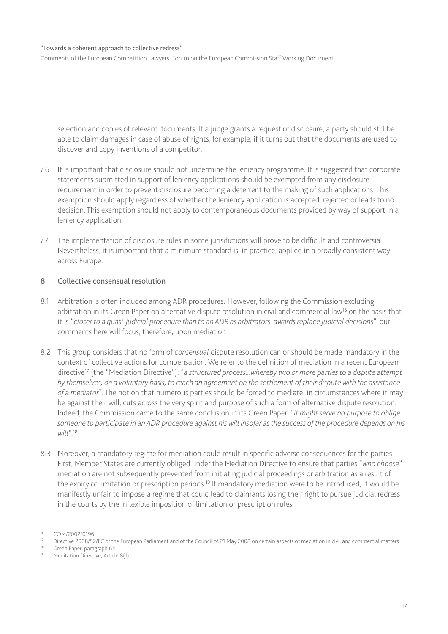<span id="page-18-0"></span>Comments of the European Competition Lawyers' Forum on the European Commission Staff Working Document

selection and copies of relevant documents. If a judge grants a request of disclosure, a party should still be able to claim damages in case of abuse of rights, for example, if it turns out that the documents are used to discover and copy inventions of a competitor.

- 7.6 It is important that disclosure should not undermine the leniency programme. It is suggested that corporate statements submitted in support of leniency applications should be exempted from any disclosure requirement in order to prevent disclosure becoming a deterrent to the making of such applications. This exemption should apply regardless of whether the leniency application is accepted, rejected or leads to no decision. This exemption should not apply to contemporaneous documents provided by way of support in a leniency application.
- 7.7 The implementation of disclosure rules in some jurisdictions will prove to be difficult and controversial. Nevertheless, it is important that a minimum standard is, in practice, applied in a broadly consistent way across Europe.

#### 8. Collective consensual resolution

- 8.1 Arbitration is often included among ADR procedures. However, following the Commission excluding arbitration in its Green Paper on alternative dispute resolution in civil and commercial law<sup>16</sup> on the basis that it is "*closer to a quasi-judicial procedure than to an ADR as arbitrators' awards replace judicial decisions*", our comments here will focus, therefore, upon mediation.
- 8.2 This group considers that no form of *consensual* dispute resolution can or should be made mandatory in the context of collective actions for compensation. We refer to the definition of mediation in a recent European directive<sup>17</sup> (the "Mediation Directive"): "*a structured process...whereby two or more parties to a dispute attempt by themselves, on a voluntary basis, to reach an agreement on the settlement of their dispute with the assistance of a mediator*". The notion that numerous parties should be forced to mediate, in circumstances where it may be against their will, cuts across the very spirit and purpose of such a form of alternative dispute resolution. Indeed, the Commission came to the same conclusion in its Green Paper: "*it might serve no purpose to oblige someone to participate in an ADR procedure against his will insofar as the success of the procedure depends on his will*".<sup>18</sup>
- 8.3 Moreover, a mandatory regime for mediation could result in specific adverse consequences for the parties. First, Member States are currently obliged under the Mediation Directive to ensure that parties "*who choose*" mediation are not subsequently prevented from initiating judicial proceedings or arbitration as a result of the expiry of limitation or prescription periods.<sup>19</sup> If mandatory mediation were to be introduced, it would be manifestly unfair to impose a regime that could lead to claimants losing their right to pursue judicial redress in the courts by the inflexible imposition of limitation or prescription rules.

<sup>&</sup>lt;sup>16</sup> COM/2002/0196.

<sup>17</sup> Directive 2008/52/EC of the European Parliament and of the Council of 21 May 2008 on certain aspects of mediation in civil and commercial matters.

<sup>18</sup> Green Paper, paragraph 64.

<sup>19</sup> Meditation Directive, Article 8(1).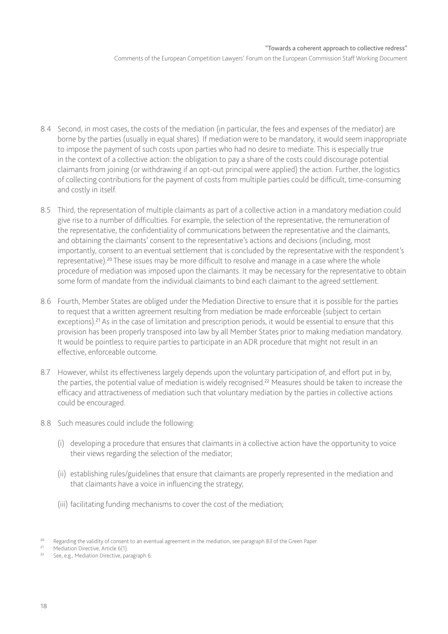- 8.4 Second, in most cases, the costs of the mediation (in particular, the fees and expenses of the mediator) are borne by the parties (usually in equal shares). If mediation were to be mandatory, it would seem inappropriate to impose the payment of such costs upon parties who had no desire to mediate. This is especially true in the context of a collective action: the obligation to pay a share of the costs could discourage potential claimants from joining (or withdrawing if an opt-out principal were applied) the action. Further, the logistics of collecting contributions for the payment of costs from multiple parties could be difficult, time-consuming and costly in itself.
- 8.5 Third, the representation of multiple claimants as part of a collective action in a mandatory mediation could give rise to a number of difficulties. For example, the selection of the representative, the remuneration of the representative, the confidentiality of communications between the representative and the claimants, and obtaining the claimants' consent to the representative's actions and decisions (including, most importantly, consent to an eventual settlement that is concluded by the representative with the respondent's representative).<sup>20</sup> These issues may be more difficult to resolve and manage in a case where the whole procedure of mediation was imposed upon the claimants. It may be necessary for the representative to obtain some form of mandate from the individual claimants to bind each claimant to the agreed settlement.
- 8.6 Fourth, Member States are obliged under the Mediation Directive to ensure that it is possible for the parties to request that a written agreement resulting from mediation be made enforceable (subject to certain exceptions).<sup>21</sup> As in the case of limitation and prescription periods, it would be essential to ensure that this provision has been properly transposed into law by all Member States prior to making mediation mandatory. It would be pointless to require parties to participate in an ADR procedure that might not result in an effective, enforceable outcome.
- 8.7 However, whilst its effectiveness largely depends upon the voluntary participation of, and effort put in by, the parties, the potential value of mediation is widely recognised.<sup>22</sup> Measures should be taken to increase the efficacy and attractiveness of mediation such that voluntary mediation by the parties in collective actions could be encouraged.
- 8.8 Such measures could include the following:
	- (i) developing a procedure that ensures that claimants in a collective action have the opportunity to voice their views regarding the selection of the mediator;
	- (ii) establishing rules/guidelines that ensure that claimants are properly represented in the mediation and that claimants have a voice in influencing the strategy;
	- (iii) facilitating funding mechanisms to cover the cost of the mediation;

<sup>&</sup>lt;sup>20</sup> Regarding the validity of consent to an eventual agreement in the mediation, see paragraph 83 of the Green Paper.

<sup>&</sup>lt;sup>21</sup> Mediation Directive, Article 6(1).

<sup>22</sup> See, e.g., Mediation Directive, paragraph 6.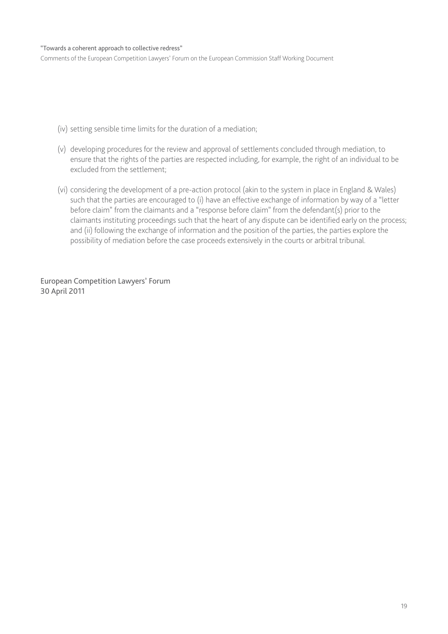Comments of the European Competition Lawyers' Forum on the European Commission Staff Working Document

- (iv) setting sensible time limits for the duration of a mediation;
- (v) developing procedures for the review and approval of settlements concluded through mediation, to ensure that the rights of the parties are respected including, for example, the right of an individual to be excluded from the settlement;
- (vi) considering the development of a pre-action protocol (akin to the system in place in England & Wales) such that the parties are encouraged to (i) have an effective exchange of information by way of a "letter before claim" from the claimants and a "response before claim" from the defendant(s) prior to the claimants instituting proceedings such that the heart of any dispute can be identified early on the process; and (ii) following the exchange of information and the position of the parties, the parties explore the possibility of mediation before the case proceeds extensively in the courts or arbitral tribunal.

European Competition Lawyers' Forum 30 April 2011